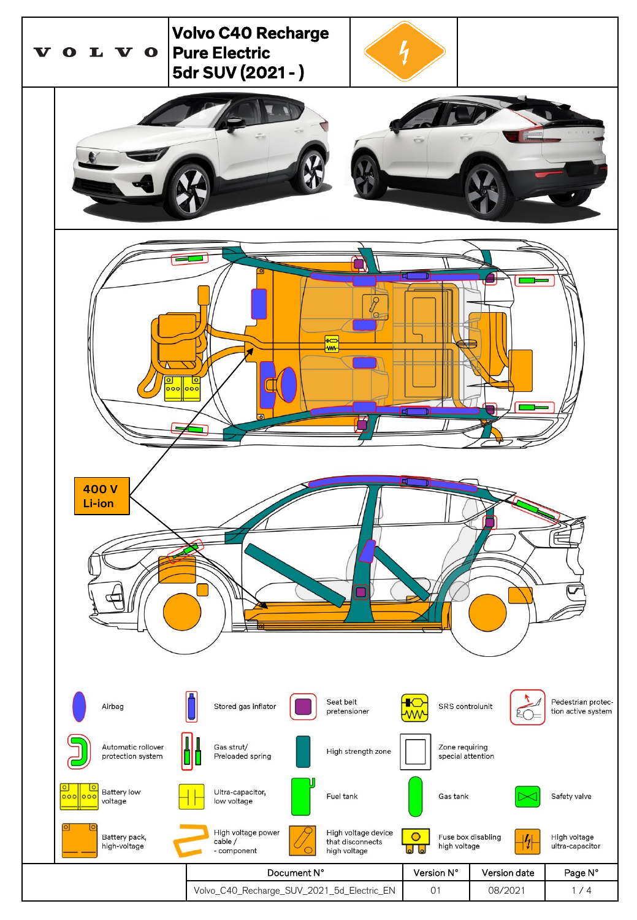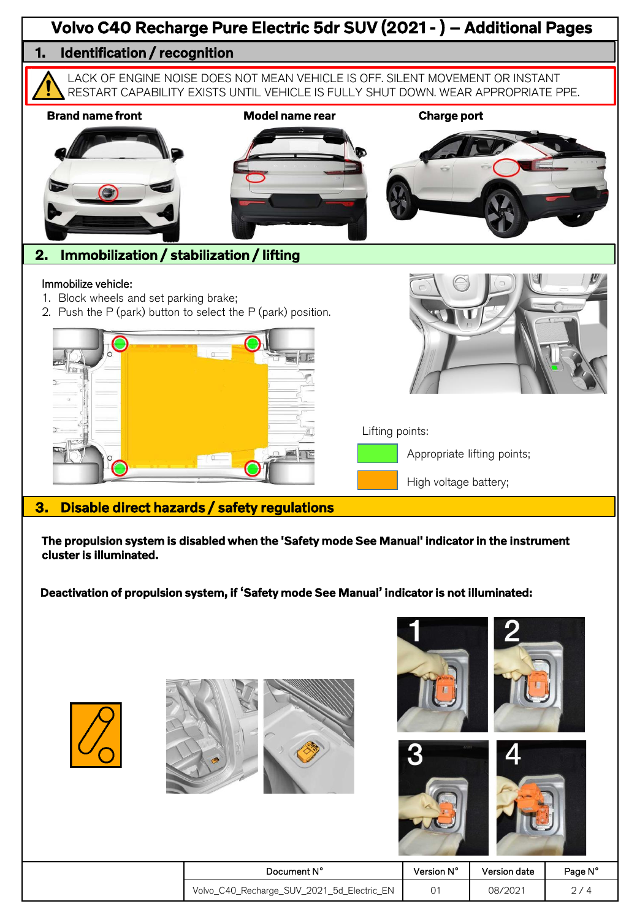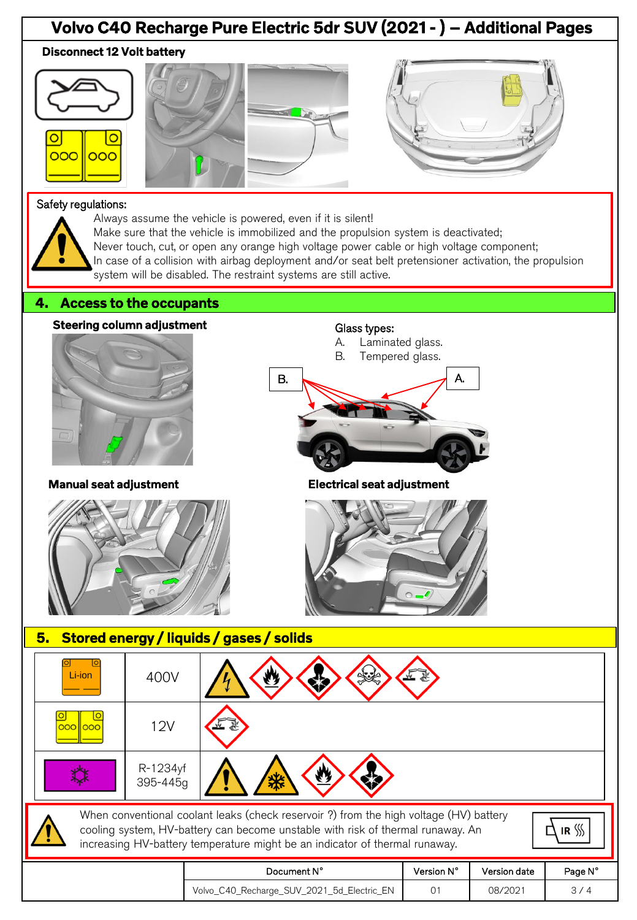## Volvo C40 Recharge Pure Electric 5dr SUV (2021 - ) – Additional Pages Disconnect 12 Volt battery







## Safety regulations:



- Always assume the vehicle is powered, even if it is silent!
- Make sure that the vehicle is immobilized and the propulsion system is deactivated;
- Never touch, cut, or open any orange high voltage power cable or high voltage component;
- In case of a collision with airbag deployment and/or seat belt pretensioner activation, the propulsion
- system will be disabled. The restraint systems are still active.

## 4. Access to the occupants